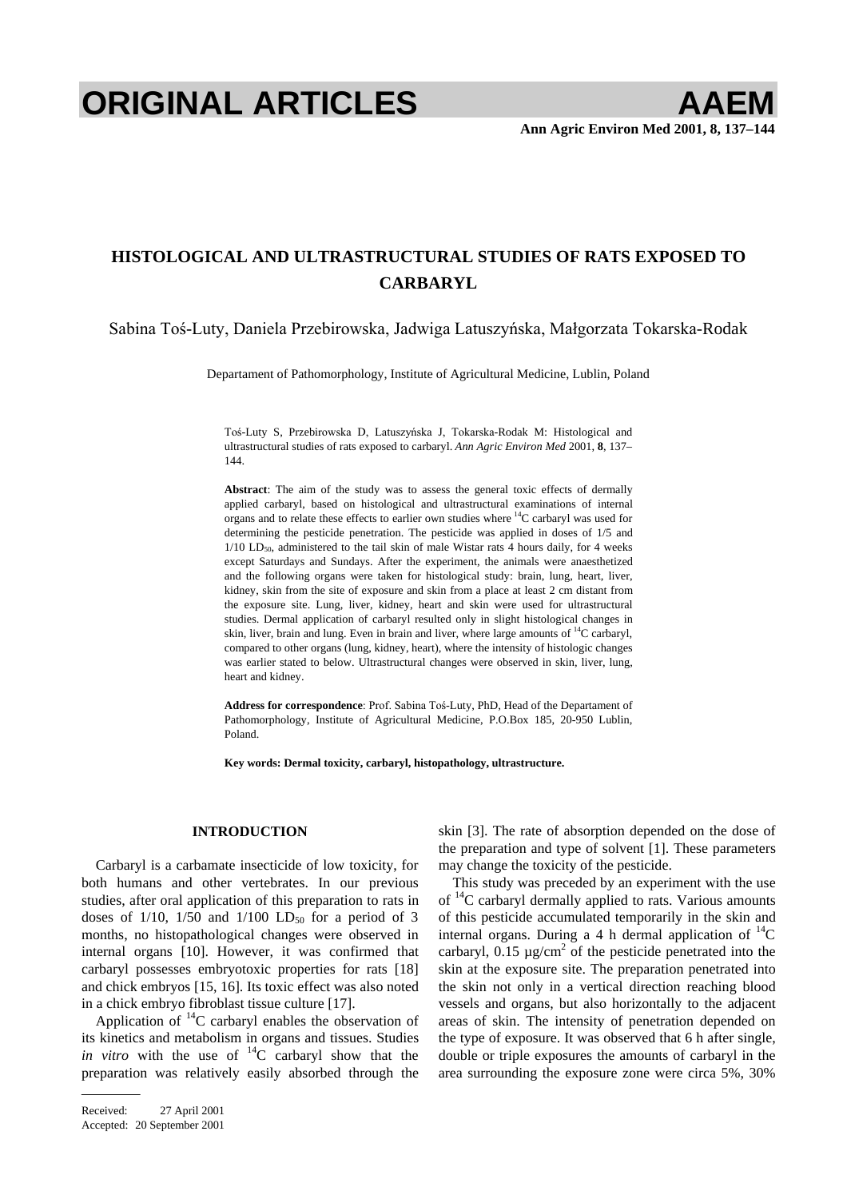# **ORIGINAL ARTICLES AAEM**

## **HISTOLOGICAL AND ULTRASTRUCTURAL STUDIES OF RATS EXPOSED TO CARBARYL**

Sabina Toś-Luty, Daniela Przebirowska, Jadwiga Latuszyńska, Małgorzata Tokarska-Rodak

Departament of Pathomorphology, Institute of Agricultural Medicine, Lublin, Poland

Toś-Luty S, Przebirowska D, Latuszyńska J, Tokarska-Rodak M: Histological and ultrastructural studies of rats exposed to carbaryl. *Ann Agric Environ Med* 2001, **8**, 137– 144.

**Abstract**: The aim of the study was to assess the general toxic effects of dermally applied carbaryl, based on histological and ultrastructural examinations of internal organs and to relate these effects to earlier own studies where  $^{14}$ C carbaryl was used for determining the pesticide penetration. The pesticide was applied in doses of 1/5 and  $1/10$  LD<sub>50</sub>, administered to the tail skin of male Wistar rats 4 hours daily, for 4 weeks except Saturdays and Sundays. After the experiment, the animals were anaesthetized and the following organs were taken for histological study: brain, lung, heart, liver, kidney, skin from the site of exposure and skin from a place at least 2 cm distant from the exposure site. Lung, liver, kidney, heart and skin were used for ultrastructural studies. Dermal application of carbaryl resulted only in slight histological changes in skin, liver, brain and lung. Even in brain and liver, where large amounts of  ${}^{14}C$  carbaryl, compared to other organs (lung, kidney, heart), where the intensity of histologic changes was earlier stated to below. Ultrastructural changes were observed in skin, liver, lung, heart and kidney.

Address for correspondence: Prof. Sabina Toś-Luty, PhD, Head of the Departament of Pathomorphology, Institute of Agricultural Medicine, P.O.Box 185, 20-950 Lublin, Poland.

**Key words: Dermal toxicity, carbaryl, histopathology, ultrastructure.** 

### **INTRODUCTION**

Carbaryl is a carbamate insecticide of low toxicity, for both humans and other vertebrates. In our previous studies, after oral application of this preparation to rats in doses of  $1/10$ ,  $1/50$  and  $1/100$  LD<sub>50</sub> for a period of 3 months, no histopathological changes were observed in internal organs [10]. However, it was confirmed that carbaryl possesses embryotoxic properties for rats [18] and chick embryos [15, 16]. Its toxic effect was also noted in a chick embryo fibroblast tissue culture [17].

Application of  $^{14}$ C carbaryl enables the observation of its kinetics and metabolism in organs and tissues. Studies *in vitro* with the use of <sup>14</sup>C carbaryl show that the preparation was relatively easily absorbed through the

skin [3]. The rate of absorption depended on the dose of the preparation and type of solvent [1]. These parameters may change the toxicity of the pesticide.

This study was preceded by an experiment with the use of  $^{14}$ C carbaryl dermally applied to rats. Various amounts of this pesticide accumulated temporarily in the skin and internal organs. During a 4 h dermal application of  ${}^{14}C$ carbaryl,  $0.15 \mu g/cm^2$  of the pesticide penetrated into the skin at the exposure site. The preparation penetrated into the skin not only in a vertical direction reaching blood vessels and organs, but also horizontally to the adjacent areas of skin. The intensity of penetration depended on the type of exposure. It was observed that 6 h after single, double or triple exposures the amounts of carbaryl in the area surrounding the exposure zone were circa 5%, 30%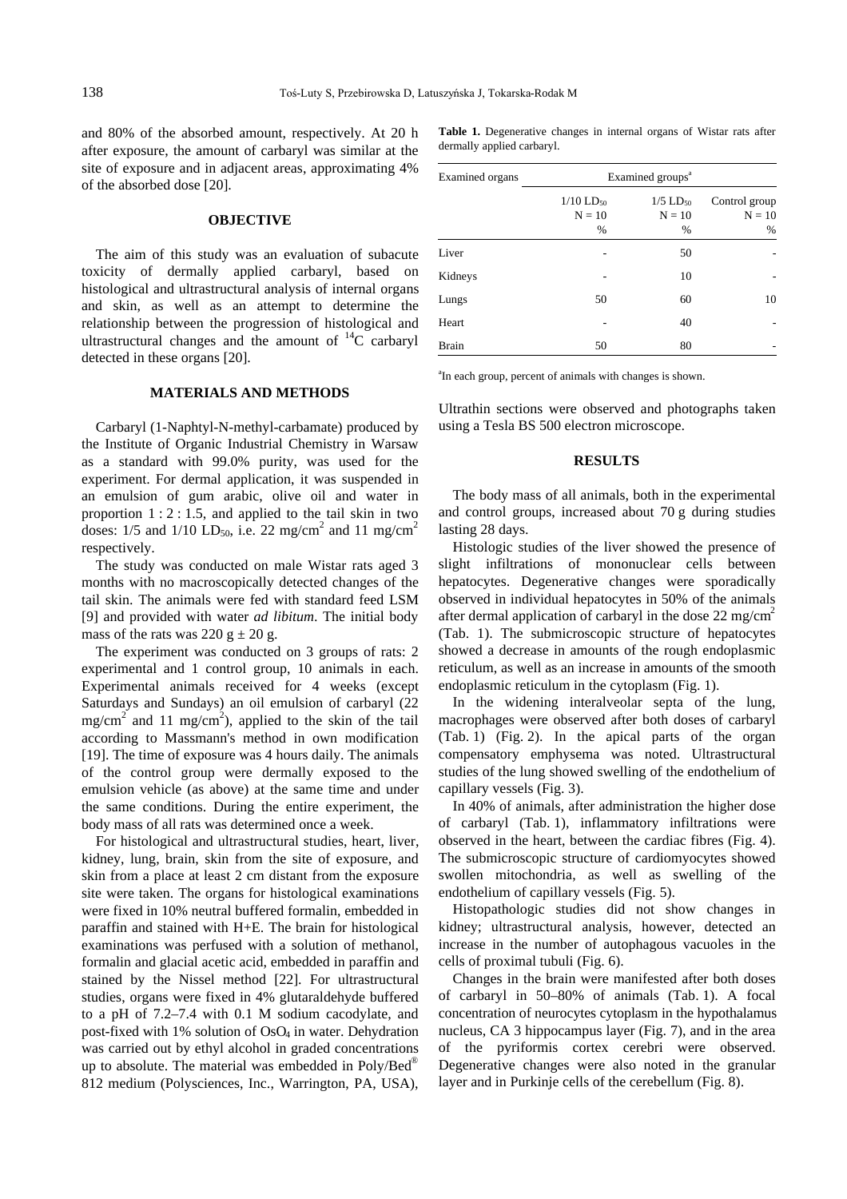and 80% of the absorbed amount, respectively. At 20 h after exposure, the amount of carbaryl was similar at the site of exposure and in adjacent areas, approximating 4% of the absorbed dose [20].

#### **OBJECTIVE**

The aim of this study was an evaluation of subacute toxicity of dermally applied carbaryl, based on histological and ultrastructural analysis of internal organs and skin, as well as an attempt to determine the relationship between the progression of histological and ultrastructural changes and the amount of  ${}^{14}C$  carbaryl detected in these organs [20].

#### **MATERIALS AND METHODS**

Carbaryl (1-Naphtyl-N-methyl-carbamate) produced by the Institute of Organic Industrial Chemistry in Warsaw as a standard with 99.0% purity, was used for the experiment. For dermal application, it was suspended in an emulsion of gum arabic, olive oil and water in proportion  $1:2:1.5$ , and applied to the tail skin in two doses:  $1/5$  and  $1/10$  LD<sub>50</sub>, i.e. 22 mg/cm<sup>2</sup> and 11 mg/cm<sup>2</sup> respectively.

The study was conducted on male Wistar rats aged 3 months with no macroscopically detected changes of the tail skin. The animals were fed with standard feed LSM [9] and provided with water *ad libitum*. The initial body mass of the rats was  $220 g \pm 20 g$ .

The experiment was conducted on 3 groups of rats: 2 experimental and 1 control group, 10 animals in each. Experimental animals received for 4 weeks (except Saturdays and Sundays) an oil emulsion of carbaryl (22  $mg/cm^2$  and 11 mg/cm<sup>2</sup>), applied to the skin of the tail according to Massmann's method in own modification [19]. The time of exposure was 4 hours daily. The animals of the control group were dermally exposed to the emulsion vehicle (as above) at the same time and under the same conditions. During the entire experiment, the body mass of all rats was determined once a week.

For histological and ultrastructural studies, heart, liver, kidney, lung, brain, skin from the site of exposure, and skin from a place at least 2 cm distant from the exposure site were taken. The organs for histological examinations were fixed in 10% neutral buffered formalin, embedded in paraffin and stained with H+E. The brain for histological examinations was perfused with a solution of methanol, formalin and glacial acetic acid, embedded in paraffin and stained by the Nissel method [22]. For ultrastructural studies, organs were fixed in 4% glutaraldehyde buffered to a pH of 7.2–7.4 with 0.1 M sodium cacodylate, and post-fixed with 1% solution of OsO<sub>4</sub> in water. Dehydration was carried out by ethyl alcohol in graded concentrations up to absolute. The material was embedded in  $Poly/Bed^{\otimes}$ 812 medium (Polysciences, Inc., Warrington, PA, USA),

| <b>Table 1.</b> Degenerative changes in internal organs of Wistar rats after |  |  |  |  |  |
|------------------------------------------------------------------------------|--|--|--|--|--|
| dermally applied carbaryl.                                                   |  |  |  |  |  |

| Examined organs |                                          | Examined groups <sup>a</sup>               |                                |
|-----------------|------------------------------------------|--------------------------------------------|--------------------------------|
|                 | $1/10$ LD <sub>50</sub><br>$N = 10$<br>% | $1/5$ LD <sub>50</sub><br>$N = 10$<br>$\%$ | Control group<br>$N = 10$<br>% |
| Liver           |                                          | 50                                         |                                |
| Kidneys         |                                          | 10                                         |                                |
| Lungs           | 50                                       | 60                                         | 10                             |
| Heart           |                                          | 40                                         |                                |
| <b>Brain</b>    | 50                                       | 80                                         |                                |

a In each group, percent of animals with changes is shown.

Ultrathin sections were observed and photographs taken using a Tesla BS 500 electron microscope.

#### **RESULTS**

The body mass of all animals, both in the experimental and control groups, increased about 70 g during studies lasting 28 days.

Histologic studies of the liver showed the presence of slight infiltrations of mononuclear cells between hepatocytes. Degenerative changes were sporadically observed in individual hepatocytes in 50% of the animals after dermal application of carbaryl in the dose  $22 \text{ mg/cm}^2$ (Tab. 1). The submicroscopic structure of hepatocytes showed a decrease in amounts of the rough endoplasmic reticulum, as well as an increase in amounts of the smooth endoplasmic reticulum in the cytoplasm (Fig. 1).

In the widening interalveolar septa of the lung, macrophages were observed after both doses of carbaryl (Tab. 1) (Fig. 2). In the apical parts of the organ compensatory emphysema was noted. Ultrastructural studies of the lung showed swelling of the endothelium of capillary vessels (Fig. 3).

In 40% of animals, after administration the higher dose of carbaryl (Tab. 1), inflammatory infiltrations were observed in the heart, between the cardiac fibres (Fig. 4). The submicroscopic structure of cardiomyocytes showed swollen mitochondria, as well as swelling of the endothelium of capillary vessels (Fig. 5).

Histopathologic studies did not show changes in kidney; ultrastructural analysis, however, detected an increase in the number of autophagous vacuoles in the cells of proximal tubuli (Fig. 6).

Changes in the brain were manifested after both doses of carbaryl in 50–80% of animals (Tab. 1). A focal concentration of neurocytes cytoplasm in the hypothalamus nucleus, CA 3 hippocampus layer (Fig. 7), and in the area of the pyriformis cortex cerebri were observed. Degenerative changes were also noted in the granular layer and in Purkinje cells of the cerebellum (Fig. 8).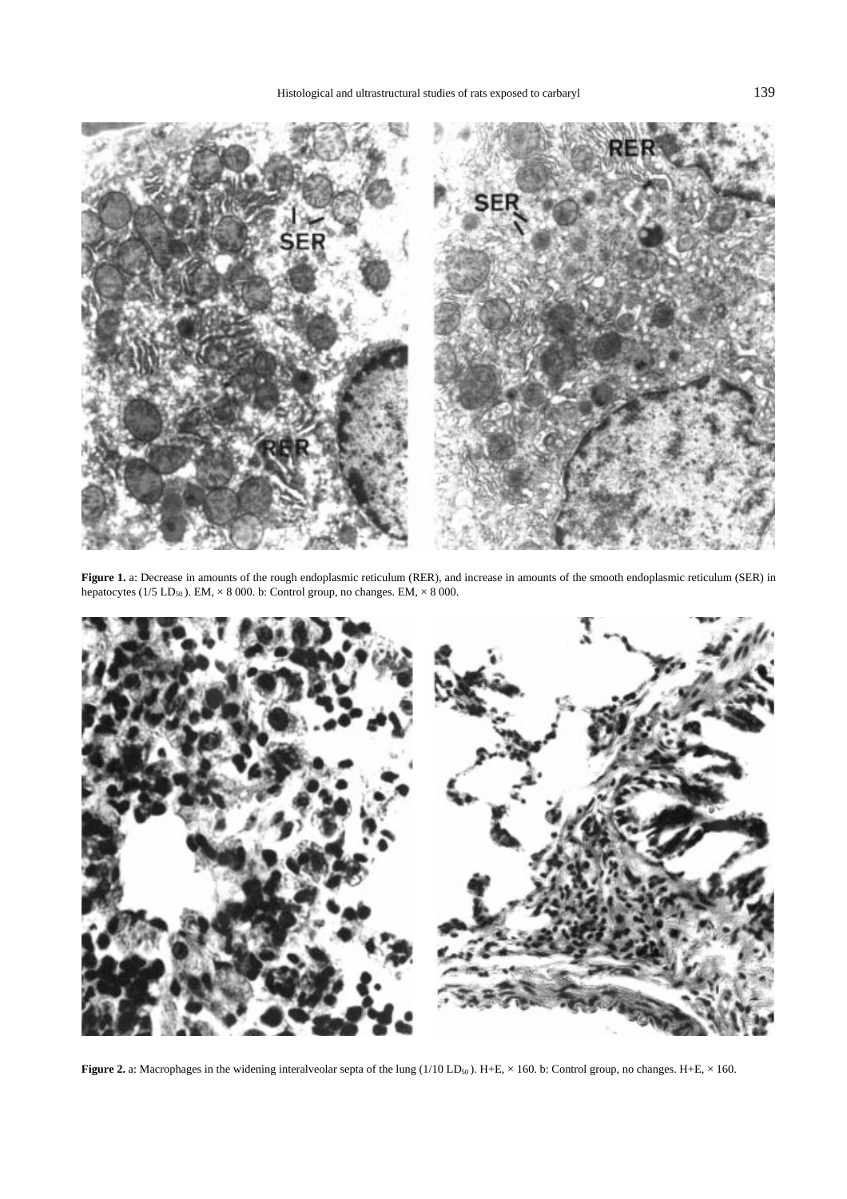

**Figure 1.** a: Decrease in amounts of the rough endoplasmic reticulum (RER), and increase in amounts of the smooth endoplasmic reticulum (SER) in hepatocytes (1/5 LD<sub>50</sub>). EM,  $\times$  8 000. b: Control group, no changes. EM,  $\times$  8 000.



**Figure 2.** a: Macrophages in the widening interalveolar septa of the lung  $(1/10 LD_{50})$ . H+E,  $\times$  160. b: Control group, no changes. H+E,  $\times$  160.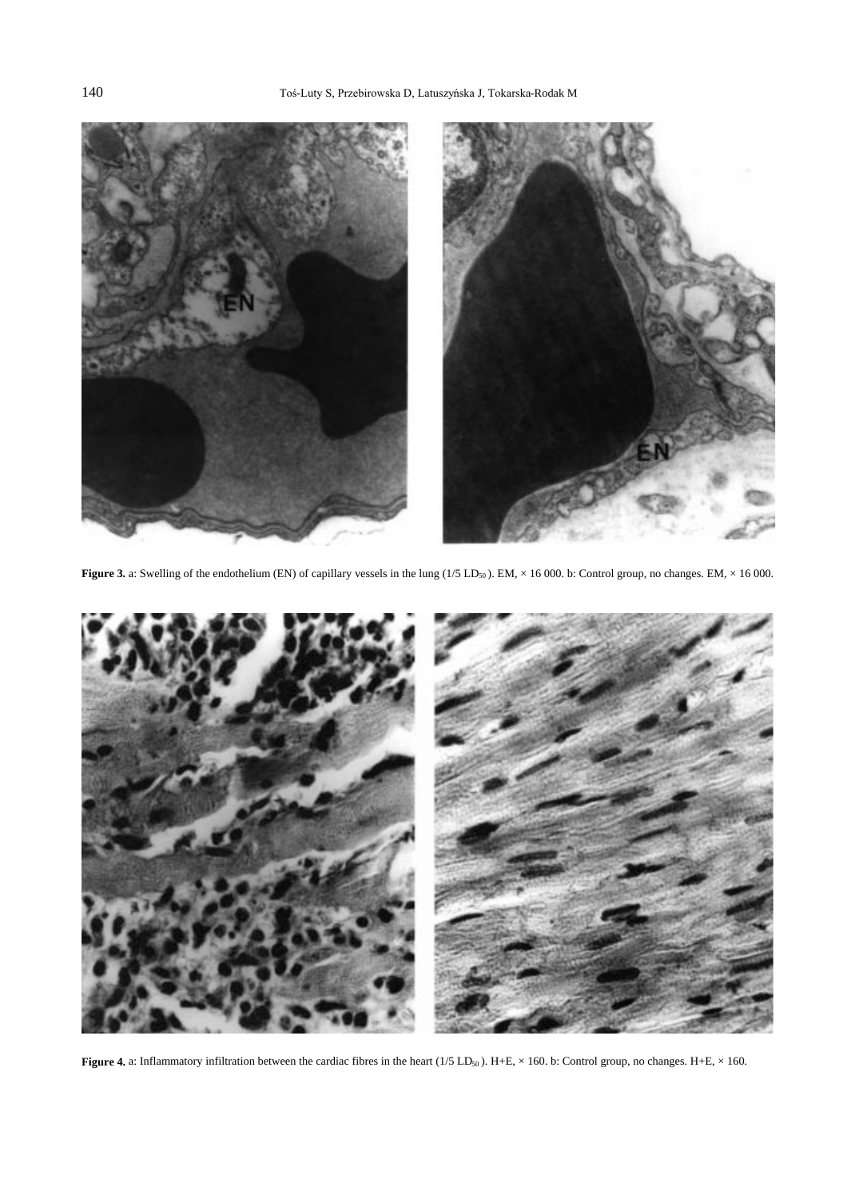

**Figure 3.** a: Swelling of the endothelium (EN) of capillary vessels in the lung  $(1/5 LD_{50})$ . EM,  $\times$  16 000. b: Control group, no changes. EM,  $\times$  16 000.



**Figure 4.** a: Inflammatory infiltration between the cardiac fibres in the heart ( $1/5$  LD<sub>50</sub>). H+E,  $\times$  160. b: Control group, no changes. H+E,  $\times$  160.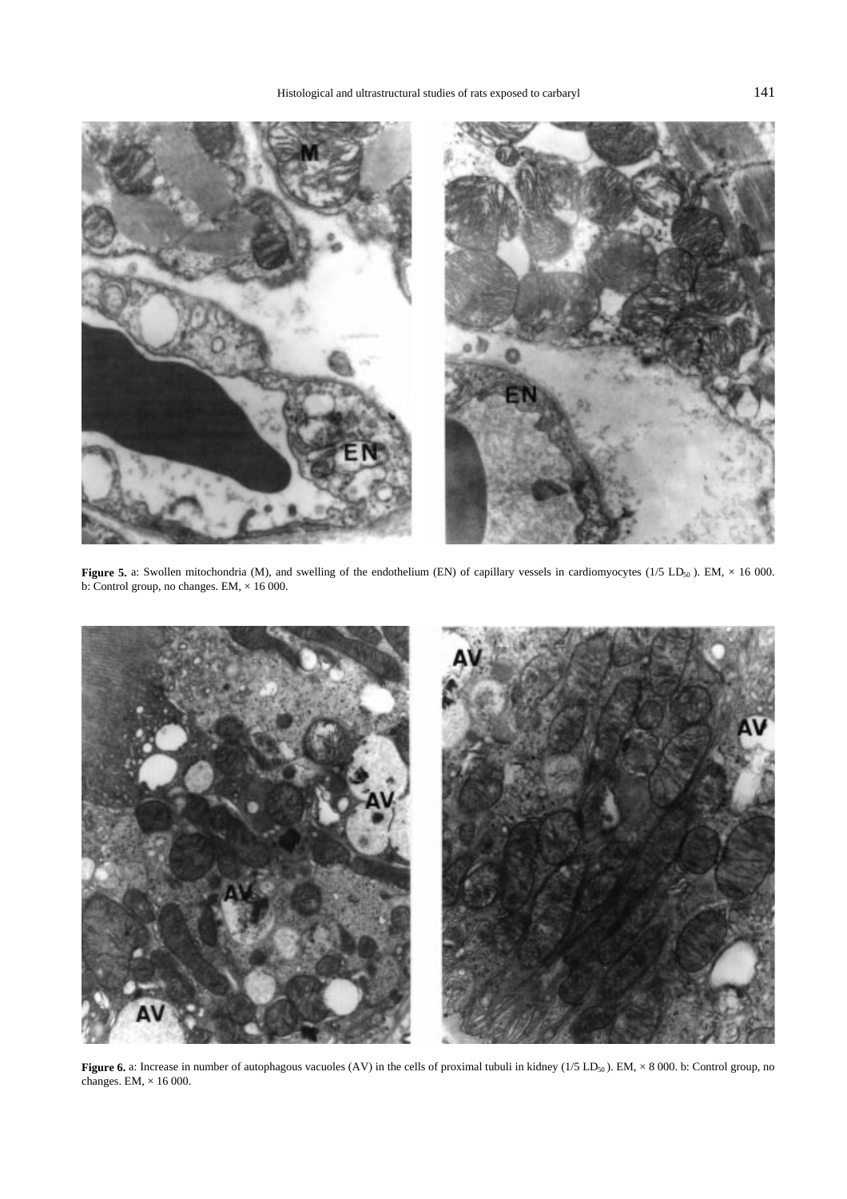

**Figure 5.** a: Swollen mitochondria (M), and swelling of the endothelium (EN) of capillary vessels in cardiomyocytes (1/5 LD<sub>50</sub>). EM,  $\times$  16 000. b: Control group, no changes. EM,  $\times$  16 000.



Figure 6. a: Increase in number of autophagous vacuoles (AV) in the cells of proximal tubuli in kidney (1/5 LD<sub>50</sub>). EM,  $\times$  8 000. b: Control group, no changes. EM,  $\times$  16 000.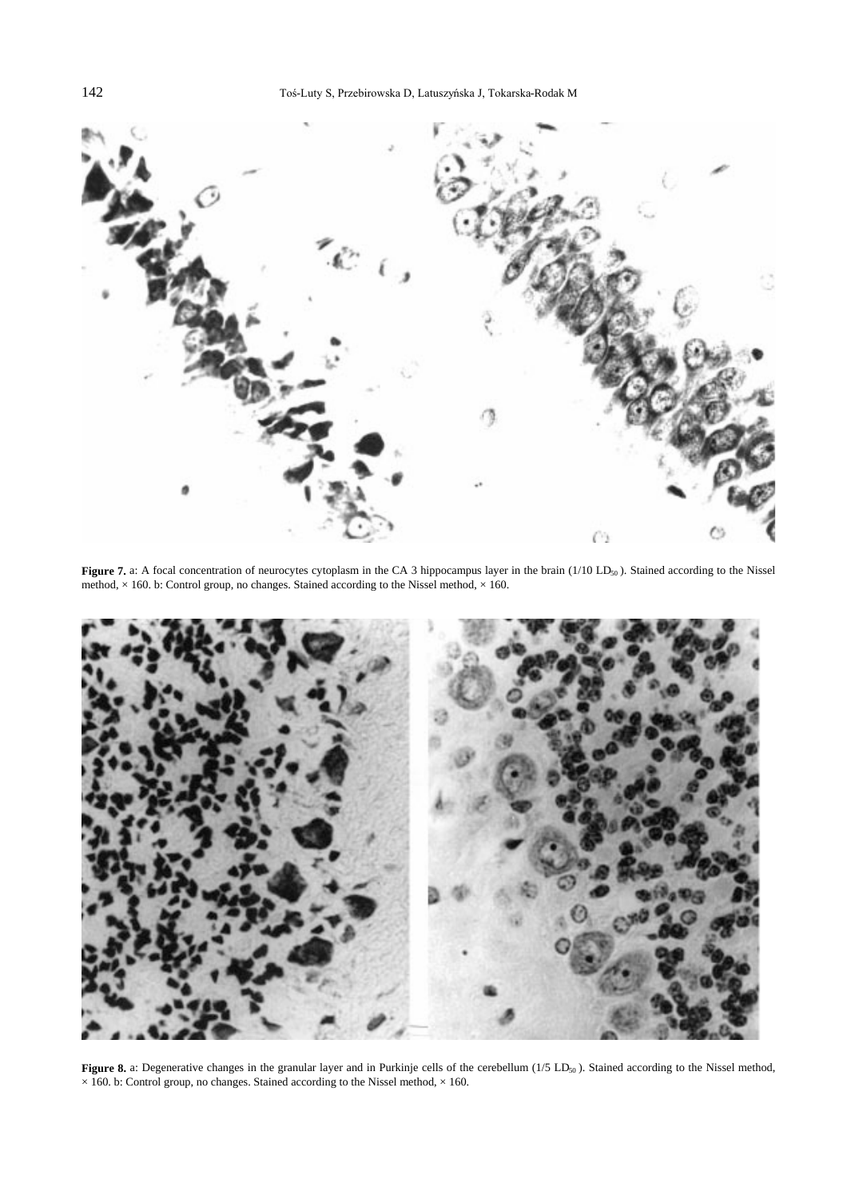

Figure 7. a: A focal concentration of neurocytes cytoplasm in the CA 3 hippocampus layer in the brain (1/10 LD<sub>50</sub>). Stained according to the Nissel method,  $\times$  160. b: Control group, no changes. Stained according to the Nissel method,  $\times$  160.



Figure 8. a: Degenerative changes in the granular layer and in Purkinje cells of the cerebellum (1/5 LD<sub>50</sub>). Stained according to the Nissel method,  $\times$  160. b: Control group, no changes. Stained according to the Nissel method,  $\times$  160.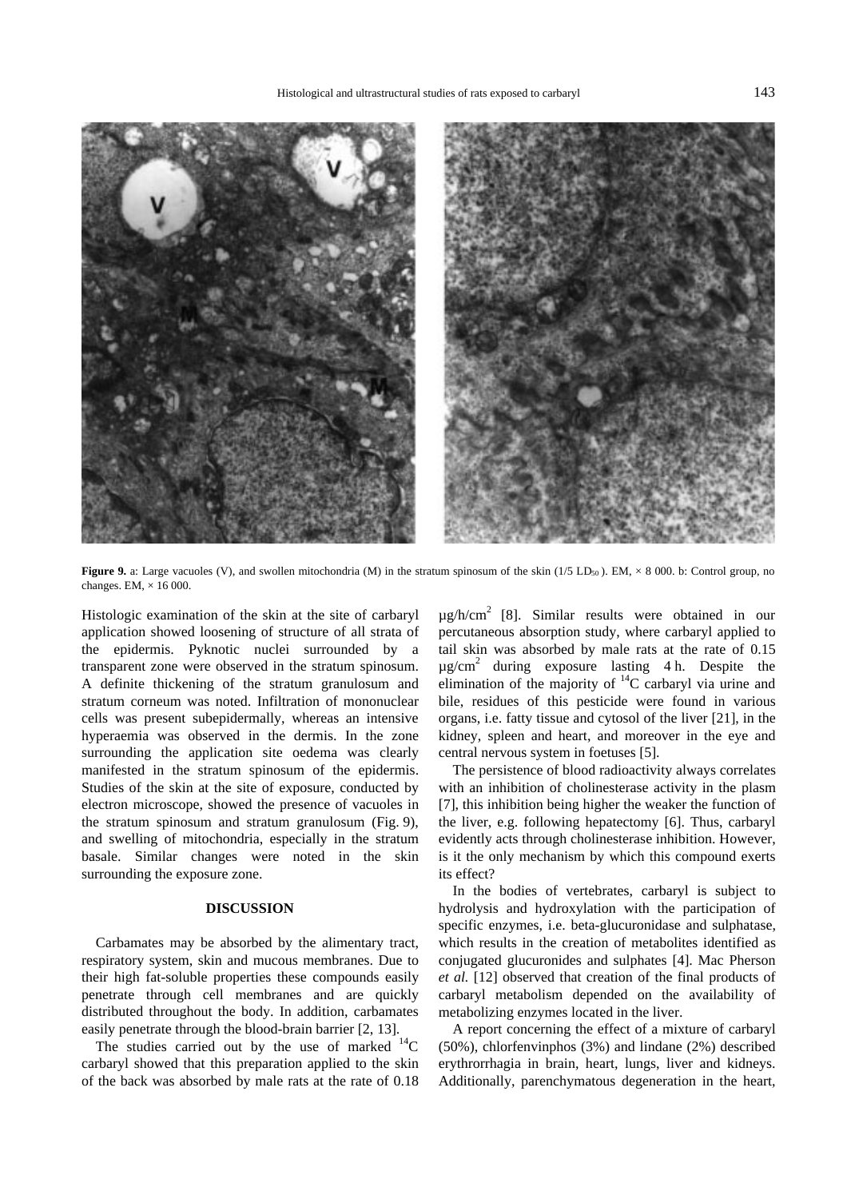

**Figure 9.** a: Large vacuoles (V), and swollen mitochondria (M) in the stratum spinosum of the skin (1/5 LD<sub>50</sub>). EM,  $\times$  8 000. b: Control group, no changes. EM,  $\times$  16 000.

Histologic examination of the skin at the site of carbaryl application showed loosening of structure of all strata of the epidermis. Pyknotic nuclei surrounded by a transparent zone were observed in the stratum spinosum. A definite thickening of the stratum granulosum and stratum corneum was noted. Infiltration of mononuclear cells was present subepidermally, whereas an intensive hyperaemia was observed in the dermis. In the zone surrounding the application site oedema was clearly manifested in the stratum spinosum of the epidermis. Studies of the skin at the site of exposure, conducted by electron microscope, showed the presence of vacuoles in the stratum spinosum and stratum granulosum (Fig. 9), and swelling of mitochondria, especially in the stratum basale. Similar changes were noted in the skin surrounding the exposure zone.

#### **DISCUSSION**

Carbamates may be absorbed by the alimentary tract, respiratory system, skin and mucous membranes. Due to their high fat-soluble properties these compounds easily penetrate through cell membranes and are quickly distributed throughout the body. In addition, carbamates easily penetrate through the blood-brain barrier [2, 13].

The studies carried out by the use of marked  $^{14}$ C carbaryl showed that this preparation applied to the skin of the back was absorbed by male rats at the rate of 0.18  $\mu$ g/h/cm<sup>2</sup> [8]. Similar results were obtained in our percutaneous absorption study, where carbaryl applied to tail skin was absorbed by male rats at the rate of 0.15  $\mu$ g/cm<sup>2</sup> during exposure lasting 4 h. Despite the elimination of the majority of  $^{14}$ C carbaryl via urine and bile, residues of this pesticide were found in various organs, i.e. fatty tissue and cytosol of the liver [21], in the kidney, spleen and heart, and moreover in the eye and central nervous system in foetuses [5].

The persistence of blood radioactivity always correlates with an inhibition of cholinesterase activity in the plasm [7], this inhibition being higher the weaker the function of the liver, e.g. following hepatectomy [6]. Thus, carbaryl evidently acts through cholinesterase inhibition. However, is it the only mechanism by which this compound exerts its effect?

In the bodies of vertebrates, carbaryl is subject to hydrolysis and hydroxylation with the participation of specific enzymes, i.e. beta-glucuronidase and sulphatase, which results in the creation of metabolites identified as conjugated glucuronides and sulphates [4]. Mac Pherson *et al.* [12] observed that creation of the final products of carbaryl metabolism depended on the availability of metabolizing enzymes located in the liver.

A report concerning the effect of a mixture of carbaryl (50%), chlorfenvinphos (3%) and lindane (2%) described erythrorrhagia in brain, heart, lungs, liver and kidneys. Additionally, parenchymatous degeneration in the heart,